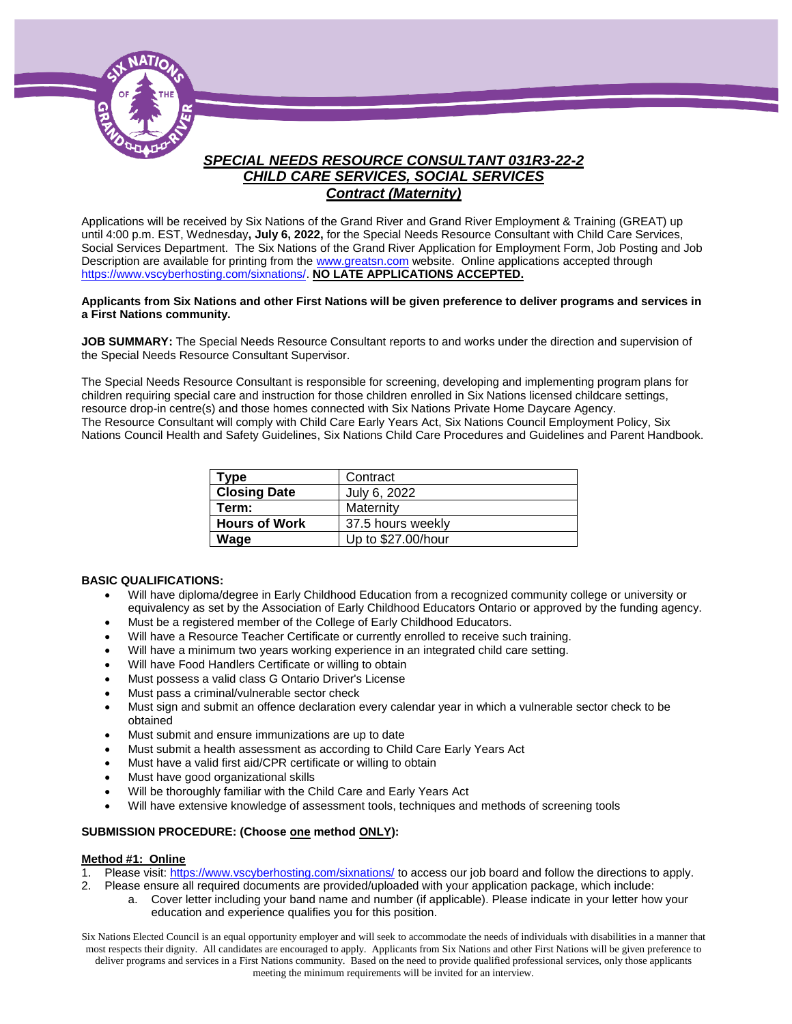

# *SPECIAL NEEDS RESOURCE CONSULTANT 031R3-22-2 CHILD CARE SERVICES, SOCIAL SERVICES Contract (Maternity)*

Applications will be received by Six Nations of the Grand River and Grand River Employment & Training (GREAT) up until 4:00 p.m. EST, Wednesday**, July 6, 2022,** for the Special Needs Resource Consultant with Child Care Services, Social Services Department. The Six Nations of the Grand River Application for Employment Form, Job Posting and Job Description are available for printing from the [www.greatsn.com](http://www.greatsn.com/) website. Online applications accepted through [https://www.vscyberhosting.com/sixnations/.](https://www.vscyberhosting.com/sixnations/) **NO LATE APPLICATIONS ACCEPTED.**

#### **Applicants from Six Nations and other First Nations will be given preference to deliver programs and services in a First Nations community.**

**JOB SUMMARY:** The Special Needs Resource Consultant reports to and works under the direction and supervision of the Special Needs Resource Consultant Supervisor.

The Special Needs Resource Consultant is responsible for screening, developing and implementing program plans for children requiring special care and instruction for those children enrolled in Six Nations licensed childcare settings, resource drop-in centre(s) and those homes connected with Six Nations Private Home Daycare Agency. The Resource Consultant will comply with Child Care Early Years Act, Six Nations Council Employment Policy, Six Nations Council Health and Safety Guidelines, Six Nations Child Care Procedures and Guidelines and Parent Handbook.

| Type                 | Contract           |
|----------------------|--------------------|
| <b>Closing Date</b>  | July 6, 2022       |
| Term:                | Maternity          |
| <b>Hours of Work</b> | 37.5 hours weekly  |
| Wage                 | Up to \$27.00/hour |

#### **BASIC QUALIFICATIONS:**

- Will have diploma/degree in Early Childhood Education from a recognized community college or university or equivalency as set by the Association of Early Childhood Educators Ontario or approved by the funding agency.
- Must be a registered member of the College of Early Childhood Educators.
- Will have a Resource Teacher Certificate or currently enrolled to receive such training.
- Will have a minimum two years working experience in an integrated child care setting.
- Will have Food Handlers Certificate or willing to obtain
- Must possess a valid class G Ontario Driver's License
- Must pass a criminal/vulnerable sector check
- Must sign and submit an offence declaration every calendar year in which a vulnerable sector check to be obtained
- Must submit and ensure immunizations are up to date
- Must submit a health assessment as according to Child Care Early Years Act
- Must have a valid first aid/CPR certificate or willing to obtain
- Must have good organizational skills
- Will be thoroughly familiar with the Child Care and Early Years Act
- Will have extensive knowledge of assessment tools, techniques and methods of screening tools

### **SUBMISSION PROCEDURE: (Choose one method ONLY):**

#### **Method #1: Online**

- 1. Please visit[: https://www.vscyberhosting.com/sixnations/](https://www.vscyberhosting.com/sixnations/) to access our job board and follow the directions to apply.
- 2. Please ensure all required documents are provided/uploaded with your application package, which include:
	- a. Cover letter including your band name and number (if applicable). Please indicate in your letter how your education and experience qualifies you for this position.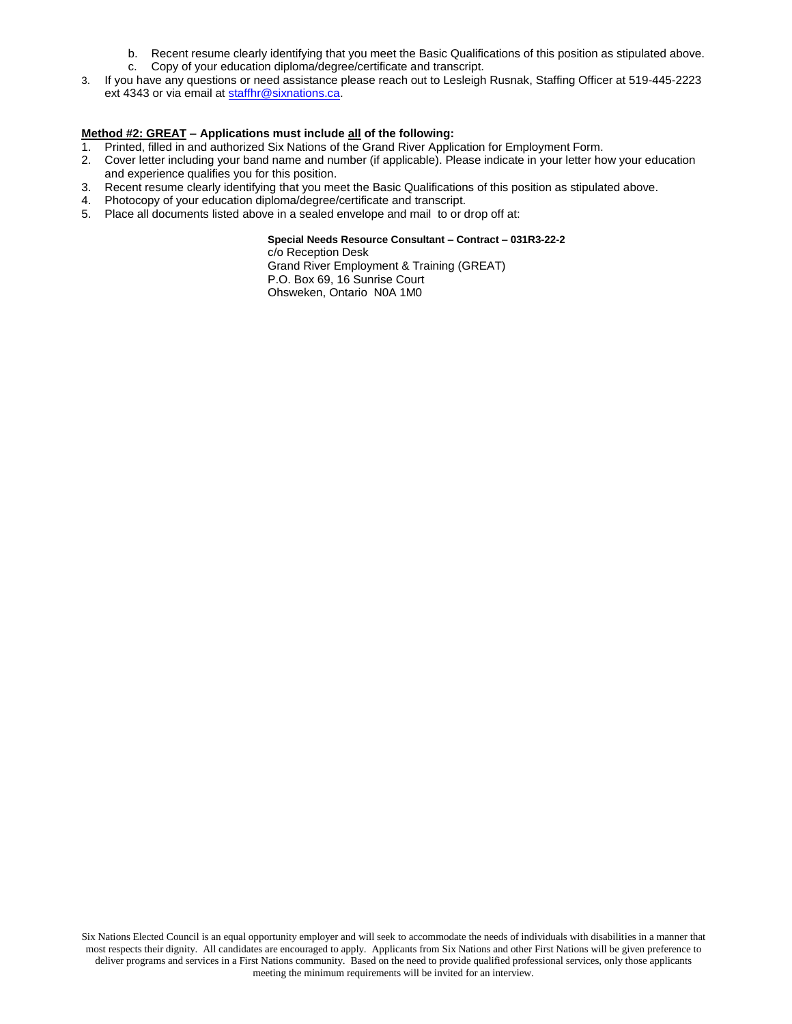- b. Recent resume clearly identifying that you meet the Basic Qualifications of this position as stipulated above.
- c. Copy of your education diploma/degree/certificate and transcript.
- 3. If you have any questions or need assistance please reach out to Lesleigh Rusnak, Staffing Officer at 519-445-2223 ext 4343 or via email a[t staffhr@sixnations.ca.](mailto:staffhr@sixnations.ca)

#### **Method #2: GREAT – Applications must include all of the following:**

- 1. Printed, filled in and authorized Six Nations of the Grand River Application for Employment Form.
- 2. Cover letter including your band name and number (if applicable). Please indicate in your letter how your education and experience qualifies you for this position.
- 3. Recent resume clearly identifying that you meet the Basic Qualifications of this position as stipulated above.
- 4. Photocopy of your education diploma/degree/certificate and transcript.
- 5. Place all documents listed above in a sealed envelope and mail to or drop off at:

#### **Special Needs Resource Consultant – Contract – 031R3-22-2**

c/o Reception Desk Grand River Employment & Training (GREAT) P.O. Box 69, 16 Sunrise Court Ohsweken, Ontario N0A 1M0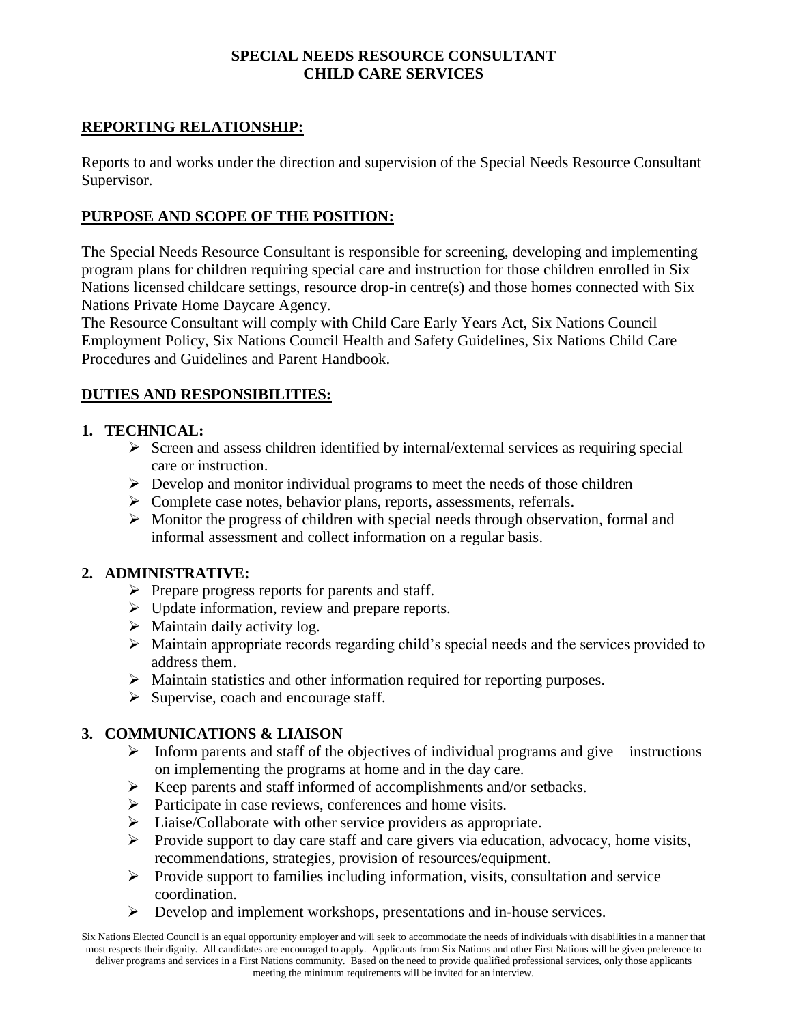## **SPECIAL NEEDS RESOURCE CONSULTANT CHILD CARE SERVICES**

# **REPORTING RELATIONSHIP:**

Reports to and works under the direction and supervision of the Special Needs Resource Consultant Supervisor.

# **PURPOSE AND SCOPE OF THE POSITION:**

The Special Needs Resource Consultant is responsible for screening, developing and implementing program plans for children requiring special care and instruction for those children enrolled in Six Nations licensed childcare settings, resource drop-in centre(s) and those homes connected with Six Nations Private Home Daycare Agency.

The Resource Consultant will comply with Child Care Early Years Act, Six Nations Council Employment Policy, Six Nations Council Health and Safety Guidelines, Six Nations Child Care Procedures and Guidelines and Parent Handbook.

# **DUTIES AND RESPONSIBILITIES:**

# **1. TECHNICAL:**

- $\triangleright$  Screen and assess children identified by internal/external services as requiring special care or instruction.
- $\triangleright$  Develop and monitor individual programs to meet the needs of those children
- $\triangleright$  Complete case notes, behavior plans, reports, assessments, referrals.
- $\triangleright$  Monitor the progress of children with special needs through observation, formal and informal assessment and collect information on a regular basis.

# **2. ADMINISTRATIVE:**

- $\triangleright$  Prepare progress reports for parents and staff.
- $\triangleright$  Update information, review and prepare reports.
- $\triangleright$  Maintain daily activity log.
- $\triangleright$  Maintain appropriate records regarding child's special needs and the services provided to address them.
- Maintain statistics and other information required for reporting purposes.
- $\triangleright$  Supervise, coach and encourage staff.

# **3. COMMUNICATIONS & LIAISON**

- Inform parents and staff of the objectives of individual programs and give instructions on implementing the programs at home and in the day care.
- $\triangleright$  Keep parents and staff informed of accomplishments and/or setbacks.
- $\triangleright$  Participate in case reviews, conferences and home visits.
- $\triangleright$  Liaise/Collaborate with other service providers as appropriate.
- Provide support to day care staff and care givers via education, advocacy, home visits, recommendations, strategies, provision of resources/equipment.
- $\triangleright$  Provide support to families including information, visits, consultation and service coordination.
- $\triangleright$  Develop and implement workshops, presentations and in-house services.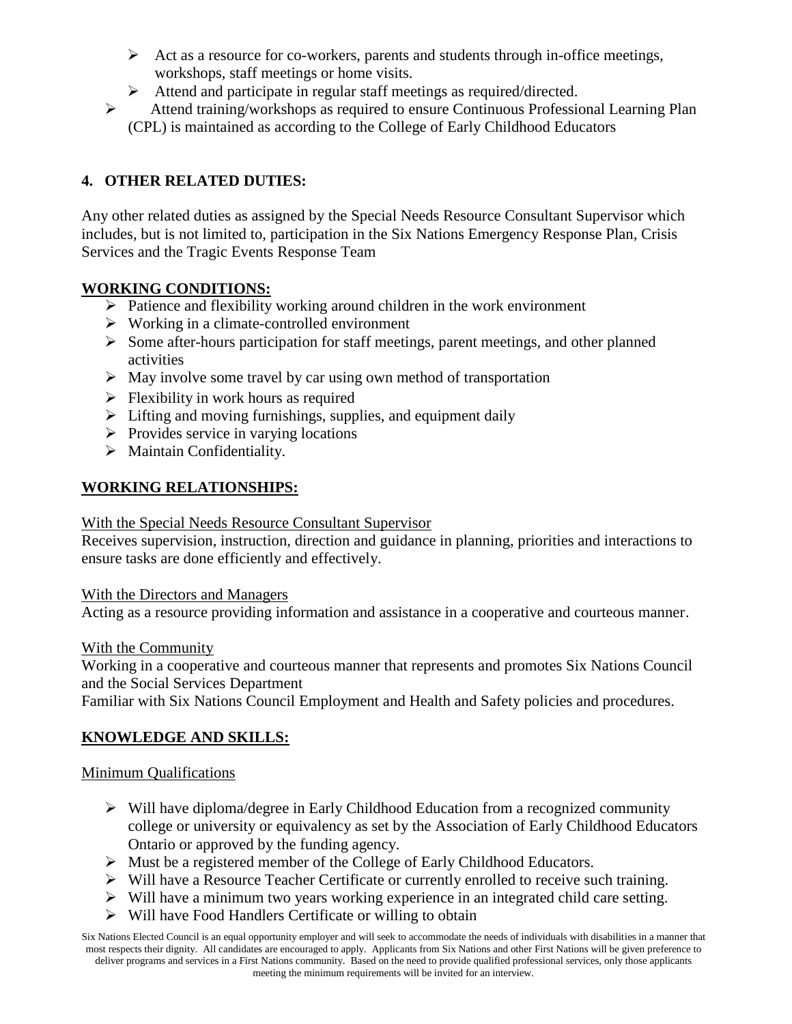- $\triangleright$  Act as a resource for co-workers, parents and students through in-office meetings, workshops, staff meetings or home visits.
- Attend and participate in regular staff meetings as required/directed.
- Attend training/workshops as required to ensure Continuous Professional Learning Plan (CPL) is maintained as according to the College of Early Childhood Educators

# **4. OTHER RELATED DUTIES:**

Any other related duties as assigned by the Special Needs Resource Consultant Supervisor which includes, but is not limited to, participation in the Six Nations Emergency Response Plan, Crisis Services and the Tragic Events Response Team

# **WORKING CONDITIONS:**

- $\triangleright$  Patience and flexibility working around children in the work environment
- $\triangleright$  Working in a climate-controlled environment
- $\triangleright$  Some after-hours participation for staff meetings, parent meetings, and other planned activities
- $\triangleright$  May involve some travel by car using own method of transportation
- $\triangleright$  Flexibility in work hours as required
- $\triangleright$  Lifting and moving furnishings, supplies, and equipment daily
- $\triangleright$  Provides service in varying locations
- $\triangleright$  Maintain Confidentiality.

# **WORKING RELATIONSHIPS:**

# With the Special Needs Resource Consultant Supervisor

Receives supervision, instruction, direction and guidance in planning, priorities and interactions to ensure tasks are done efficiently and effectively.

# With the Directors and Managers

Acting as a resource providing information and assistance in a cooperative and courteous manner.

# With the Community

Working in a cooperative and courteous manner that represents and promotes Six Nations Council and the Social Services Department

Familiar with Six Nations Council Employment and Health and Safety policies and procedures.

# **KNOWLEDGE AND SKILLS:**

# Minimum Qualifications

- $\triangleright$  Will have diploma/degree in Early Childhood Education from a recognized community college or university or equivalency as set by the Association of Early Childhood Educators Ontario or approved by the funding agency.
- $\triangleright$  Must be a registered member of the College of Early Childhood Educators.
- Will have a Resource Teacher Certificate or currently enrolled to receive such training.
- $\triangleright$  Will have a minimum two years working experience in an integrated child care setting.
- Will have Food Handlers Certificate or willing to obtain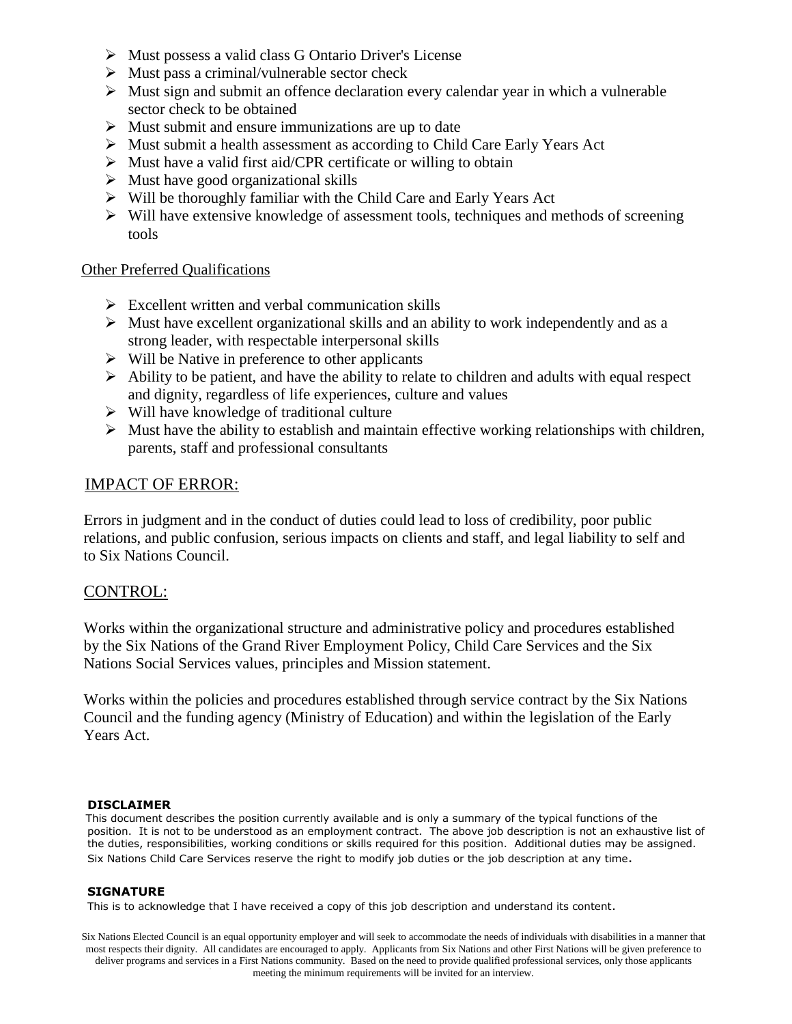- $\triangleright$  Must possess a valid class G Ontario Driver's License
- $\triangleright$  Must pass a criminal/vulnerable sector check
- $\triangleright$  Must sign and submit an offence declaration every calendar year in which a vulnerable sector check to be obtained
- $\triangleright$  Must submit and ensure immunizations are up to date
- Must submit a health assessment as according to Child Care Early Years Act
- $\triangleright$  Must have a valid first aid/CPR certificate or willing to obtain
- $\triangleright$  Must have good organizational skills
- $\triangleright$  Will be thoroughly familiar with the Child Care and Early Years Act
- $\triangleright$  Will have extensive knowledge of assessment tools, techniques and methods of screening tools

## Other Preferred Qualifications

- $\triangleright$  Excellent written and verbal communication skills
- $\triangleright$  Must have excellent organizational skills and an ability to work independently and as a strong leader, with respectable interpersonal skills
- $\triangleright$  Will be Native in preference to other applicants
- $\triangleright$  Ability to be patient, and have the ability to relate to children and adults with equal respect and dignity, regardless of life experiences, culture and values
- $\triangleright$  Will have knowledge of traditional culture
- $\triangleright$  Must have the ability to establish and maintain effective working relationships with children, parents, staff and professional consultants

# IMPACT OF ERROR:

Errors in judgment and in the conduct of duties could lead to loss of credibility, poor public relations, and public confusion, serious impacts on clients and staff, and legal liability to self and to Six Nations Council.

# CONTROL:

Works within the organizational structure and administrative policy and procedures established by the Six Nations of the Grand River Employment Policy, Child Care Services and the Six Nations Social Services values, principles and Mission statement.

Works within the policies and procedures established through service contract by the Six Nations Council and the funding agency (Ministry of Education) and within the legislation of the Early Years Act.

## **DISCLAIMER**

This document describes the position currently available and is only a summary of the typical functions of the position. It is not to be understood as an employment contract. The above job description is not an exhaustive list of the duties, responsibilities, working conditions or skills required for this position. Additional duties may be assigned. Six Nations Child Care Services reserve the right to modify job duties or the job description at any time.

## **SIGNATURE**

This is to acknowledge that I have received a copy of this job description and understand its content.